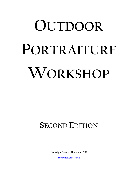# **OUTDOOR PORTRAITURE WORKSHOP**

# **SECOND EDITION**

Copyright Bryan A. Thompson, 2012

[bryan@rollaphoto.com](mailto:bryan@roadslessphotographed.com)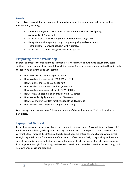# **Goals**

The goals of this workshop are to present various techniques for creating portraits in an outdoor environment, including:

- Individual and group portraiture in an environment with variable lighting
- Available Light Photography
- Using fill flash to balance foreground and background brightness
- Using Manual Mode photography to improve quality and consistency
- Techniques for improving accuracy with Autofocus
- Using the LCD to judge image exposure and quality

# **Preparing for the Workshop**

In order to practice the manual mode technique, it is necessary to know how to adjust a few basic settings on your camera. Please read through the manual for your camera and understand how to make the following adjustments to your camera:

- How to select the Manual exposure mode
- $\bullet$  How to adjust the aperture to f/5.6, f/8 and f/11
- How to adjust the ISO to 100 and to 400
- How to adjust the shutter speed to 1/60 second
- How to adjust your camera to write RAW + JPG files
- How to view a histogram of an image on the LCD screen
- How to enable Highlight Alert on the LCD screen
- How to configure your flash for High Speed Sync (HSS) mode
- How to adjust Flash Exposure Compensation (FEC)

Don't worry if your camera doesn't have one or more of these adjustments. You'll still be able to participate.

# **Equipment Needed**

Bring along any camera you have. Make sure your batteries are charged! We will be using RAW + JPG mode for this workshop, so bring extra memory cards with lots of free space on them. Any lens which covers the focal range of 35-200mm will work. Lens hoods are critical for any situation where direct sunlight might fall on the front element of the camera. If you have a flash, bring it, along with several sets of charged batteries. Reflectors are useful for adding fill lighting in available light images, and for blocking unwanted light from falling on the subject. We'll need several of these for the workshop, so if you own one, please bring it along.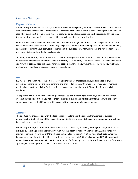# **Camera Settings**

# **Exposure Modes**

Automatic exposure modes such as P, Av and Tv are useful for beginners, but they place control over the exposure with the camera's electronics. Unfortunately, the camera has no idea of how we want the image to look. It has no idea what our subject is. The camera meter is easily fooled by white dresses and black tuxedos, backlit subjects, the way we frame our subject, skin tone, subjects which emit light, and low light levels.

Manual mode is the way we tell the camera what we want the image to look like. Manual exposure mode offers consistency and absolute control over the image exposure. Manual mode is completely unaffected by such things as the color of clothing a subject wears or the tone of the subject's skin. Manual mode is the way we gain control over overly-bright and overly-dark backgrounds.

Together, the Aperture, Shutter Speed and ISO control the exposure of the camera. Manual mode means that we must intentionally select a value for each of those settings. Don't worry - this doesn't mean that we need to know exactly which settings need to be used for every possible scenario. If you're using Av or Tv mode, you're already making two of the three choices necessary for manual mode.

#### **ISO**

ISO refers to the sensitivity of the digital sensor. Lower numbers are less sensitive, and are used in brighter situations. Higher numbers are more sensitive, and are used in scenes with lower light levels. Lower numbers result in images with less digital "noise" artifacts, so you should use the lowest ISO possible for a given light condition.

To adjust the ISO, start with the following guidelines: Use ISO 100 for bright, sunny days, and use ISO 400 for overcast days and twilight. If you notice that you can't achieve a hand-holdable shutter speed with the aperture you're using, increase the ISO speed until you can achieve an appropriate shutter speed.

# **Aperture**

The aperture we choose, along with the focal length of the lens and the distance from camera to subject, determines the depth-of-field of the image. Depth of field is the range of distances from the camera at which our image will be acceptably sharp.

With most portraits, it is often desirable to emphasize the subject by selectively blurring the background. This is achieved by selecting a larger aperture with relatively less depth of field. An aperture of f/5.6 is common for individual portraits. Apertures of f/8 to f/11 are common for groups with multiple rows of subjects. After you become more familiar with critical focus, consider using f/4 or even f/2.8 for individuals, and f/5.6 for groups of two or fewer rows. As we move further from the subject for full-body portraits, depth-of-field increases for a given aperture, so smaller apertures (such as 2.8 or smaller) can be used.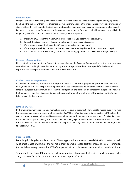#### **Shutter Speed**

Our goal is to select a shutter speed which provides a correct exposure, while still allowing the photographer to hand-hold the camera without fear of camera movement showing up in the image. Since everyone's photography style is different, it will be up to the individual photographer to determine a maximum acceptable shutter speed. For lenses commonly used for portraits, this maximum shutter speed for a hand-holdable camera is probably in the range of 1/50 – 1/100 sec. To choose a shutter speed, follow this process:

- 1. Start with 1/50 sec (or the maximum shutter speed that you determined previously).
- 2. Look at the display and/or histogram to determine if the exposure is correct.
- 3. If the image is too dark, change the ISO to a higher value and go to step 1.
- 4. If the image is too bright, adjust the shutter speed to something shorter than 1/50sec and try again.
- 5. If the shutter speed is less than 1/250sec, consider changing the ISO to a lower value and go to step 1.

### **Exposure Compensation**

Here's a tip it took me months to figure out: In manual mode, the Exposure Compensation control on your camera does absolutely nothing! To add more or less light to an image, adjust the shutter speed (for background exposure) or flash exposure compensation (for subject exposure).

#### **Flash Exposure Compensation**

At the time of autofocus, the camera uses exposure info to calculate an appropriate exposure for the dedicated flash (if one is used). Flash Exposure Compensation is used to modify the power of the light that the flash emits. Since the subject is typically much closer than the background, the flash only illuminates the subject. The result is that we can vary the Flash Exposure Compensation control to vary the brightness of the subject relative to the brightness of the background.

#### **RAW vs JPG Files**

In this workshop, we're just learning manual exposure. To ensure that we still have usable images, even if we miss the exposure by a couple of stops, we'll be shooting RAW files. RAW files have to be converted to JPG before they can be printed or placed online, so this does mean a bit more work (but not much more – really!). RAW files have the added advantage of allowing us to correct shadow and highlight information MUCH more effectively than we can with JPG files. This can be important when dealing with contrasty subjects. If it makes you feel better, it's fine to shoot RAW + JPG.

# **Focal Length**

Focal length is largely an artistic choice. The exaggerated features and barrel distortion created by really wide angle lenses of 28mm or shorter make them poor choices for portrait lenses. I use a 24-70mm lens (or the full-frame equivalent) for 90% of the portraits I shoot, however I never use it at less than 35mm.

Telephoto lenses (over 100mm or the full-frame equivalent) are excellent choices for close-up portraits. They compress facial features and offer shallower depths-of-field.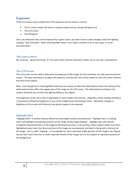# **Exposure**

There are various ways to determine if the exposure you've chosen is correct:

- The in-camera meter still works in manual mode (and you should still ignore it!)
- The LCD screen
- The Histogram

Once you determine the correct exposure for a given scene, you don't have to make changes unless the lighting changes! And remember: When shooting RAW mode, if you make a mistake of up to two stops, it can be corrected later!

# **The Camera Meter**

No, seriously – ignore this thing! It's the same meter that the automatic modes use to ruin your masterpieces!

### **The LCD Screen**

The LCD screen can be used to determine the exposure of the image, but this technique can take some practice to master. The basic technique is to adjust the exposure until the skin tone of the subject on the LCD screen matches the tone of the subject.

*Note:* Even though we're shooting RAW mode and can choose to select the white balance later, the setting of the white balance does affect the appearance of the image on the LCD screen. The white balance setting on the camera should be set to match the lighting falling on the subject.

The brightness of the LCD screen is adjustable on most modern SLR cameras. Regardless of the viewing conditions, I recommend setting this brightness to one of the middle levels and leaving it there. Otherwise, changes in brightness of the screen will influence how photos appear to be exposed.

# **Highlight Alert**

"Highlight Alert" is another feature offered by some digital camera manufacturers. Highlight Alert is a setting which will highlight overexposed portions of the image during image playback. Highlight alert will indicate completely exposed portions of the image by flashing those areas, or by placing a zebra-striped outline over them. Highlighted areas mean that those portions of the image are overexposed, and detail is being lost in that part of the image – this is called "clipping". It's acceptable for some extremely bright portions of the image to be clipped, we just don't want that area to cover important details of the image, such as the subject or important portions of the background.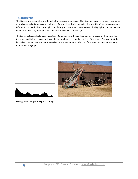# **The Histogram**

The histogram is yet another way to judge the exposure of an image. The histogram shows a graph of the number of pixels (vertical axis) versus the brightness of those pixels (horizontal axis). The left side of the graph represents information in the shadows. The right side of the graph represents information in the highlights. Each of the five divisions in the histogram represents approximately one full stop of light.

The typical histogram looks like a mountain. Darker images will have the mountain of pixels on the right side of the graph, and brighter images will have the mountain of pixels on the left side of the graph. To ensure that the image isn't overexposed and information isn't lost, make sure the right side of the mountain doesn't touch the right side of the graph.





Histogram of Properly Exposed Image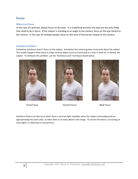# **Focus**

# **Where to Focus**

In the case of a portrait, always focus on the eyes. In a traditional portrait, the eyes are the only thing that need to be in focus. If the subject is standing at an angle to the camera, focus on the eye closest to the camera. In the case of multiple people, focus on the eyes of the person closest to the camera.

# **Autofocus Failure**

Sometimes autofocus doesn't focus on the subject. Sometimes the camera guesses incorrectly about the subject. This usually happens when there is a high contrast object (such as a brick wall or a tree) in front of, or behind, the subject. To eliminate this problem, use the "Autofocus Lock" technique shown below.





Front Focus Correct Focus Back Focus



Autofocus failure can also occur when there is very low light available, when the subject and background are approximately the same color, or when there is no sharp detail in the image. To correct the failure, try turning on more lights, or switching to manual focus.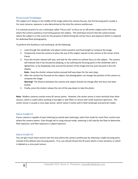# **Focus Lock Technique**

The subject isn't always in the middle of the image where the camera focuses, but the focusing point usually is. For most cameras, exposure is also determined at the time the camera autofocuses.

It is common practice to use a technique called "Focus Lock" to focus on an off-center subject and in the case where the camera autofocus incorrectly guesses the subject. This technique ensures that the camera knows where the subject is in the scene for the purpose of determining the correct focus and exposure (which is required for dedicated flash photography).

To perform the Autofocus Lock technique, do the following:

- 1. Look through the viewfinder and adjust camera position and focal length to compose the image.
- 2. Temporarily move the camera to place the eye of the subject nearest to the camera in the center of the frame.
- 3. Press the shutter release half-way, and wait for the camera to achieve focus on the subject. The camera will indicate that it has focused by beeping, or by outlining the focusing point in the viewfinder with a lighted box, or by displaying a box around the portion of the image that has auto-focused in the LCD display.

**Note:** Keep the shutter release button pressed half-way down for the next steps.

4. After the camera has focused on the subject, the photographer can change the position of the camera to compose the image. **Warning!** The distance between the camera and subject should not change after the focus has been

locked.

5. Finally, press the shutter release the rest of the way down to take the photo.

**Note:** Modern cameras contain many AF sensor points. However, the center sensor is more sensitive than other sensors, which is useful when working in low light or with filters or lenses with small maximum apertures. The center sensor is usually a cross-type sensor, which means it works well in both landscape and portrait modes.

# *Extra Credit #1*

If your camera is capable of spot metering (or partial spot metering), select that mode for much finer control over where the camera meters. Even though we're using manual mode, metering is still used by the flash to determine flash exposure, and flash exposure is subject exposure.

# *Extra Credit #2*

You can gain much more control over the area where the camera autofocuses by selecting a single focusing point, instead of the default area focusing points. If so, you should choose the AF point which is most sensitive, or which is labeled as a cross point sensor.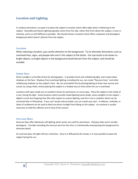# **Location and Lighting**

In outdoor portraiture, our goal is to place the subject in location which offers light which is flattering to the subject. Desirable portraiture lighting typically comes from the side, rather than from above the subject, is even in intensity, and is as soft (diffuse) as possible. We should choose a location which offers a pleasant and photogenic background which doesn't distract from the subject.

### **Location**

When selecting a location, pay careful attention to the background. Try to eliminate distractions such as overhead lines, signs, and people who aren't the subject of the photo. Our eye tends to be drawn to bright objects, so bright objects in the background would distract from the subject, and should be avoided.

### **Sunny Days**

Direct sunlight is a horrible choice for photography – it provides harsh and unflattering light, and creates deep shadows on the face. Shadows from overhead lighting, including the sun, can create "Raccoon Eyes," and other unflattering shadows on the subject's face. We can accomplish this by photographing at times near sunrise and sunset, by using a flash, and by placing the subject in a shaded area at times when the sun is overhead.

Locations with open shade are an excellent choice for portraiture on sunny days. Place the subject in the shade of a tree, facing the light**.** Avoid locations which provide mixed lighting (some shade, some sunlight) on the subject – digital is much less forgiving than film with respect to uneven lighting, and this is not a condition which can be corrected later in Photoshop. If you can't locate natural shade, you can create your own. A reflector, umbrella, or sheet of cardboard can be used to block any direct sunlight from falling on the subject. An assistant is usually necessary to hold the reflector out of view of the camera.

# **Overcast Skies**

Overcast days offer fabulously soft lighting which works very well for portraiture. Dull grey skies aren't terribly photogenic. Consider excluding the overcast sky from the shot, or intentionally overexposing the background to eliminate detail.

On overcast days, the light still has a direction. Since it is diffused by the clouds, it is now possible to place the subject facing the sun.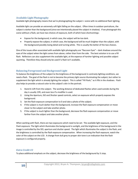# **Available Light Photography**

Available light photography means that we're photographing the subject + scene with no additional flash lighting.

Available light can provide an extremely soft light falling on the subject. Often times in outdoor portraiture, the subject is darker than the background (since we intentionally placed the subject in shadow). If we photograph this scene without a flash, we have two choices of exposure, both of which have shortcomings:

- Expose for the background, in which case, the subject will be too dark.
- Properly expose the subject, in which case, the background will be much brighter than the subject, with the background possibly losing detail and turning white. This is usually the better of the two choices.

One of the issues often associated with available light photography are "Raccoon Eyes" – dark shadows around the eyes of the subject when the light comes from above, rather than from the side. The best solution is to use a fill flash. Reflectors can also supplement the available light, at the expense of harsher lighting and possible subject squinting. Therefore they should only be used if a flash isn't available.

# **Balancing Foreground and Background Light**

To balance the brightness of the subject to the brightness of the background in contrasty lighting conditions, we need a flash. The goal of the flash is not to become the primary light source illuminating the subject, but rather to supplement the light which is already lighting the subject. This is called "Fill Flash," as it fills in the shadows. Flash also helps to provide a natural color to the subject's skin in the portrait.

- 1. Stand 6-12ft from the subject. The working distance of dedicated flashes when used outside during the day is usually 15ft, and even less if a modifier is used.
- 2. Using the Aperture, ISO and Shutter speed controls, select an exposure which properly exposes the background.
- 3. Set the flash exposure compensation to 0 and take a photo of the subject.
- 4. If the subject is much darker than the background, increase the flash exposure compensation or move closer to the subject and take another photo.
- 5. If the subject is much lighter than the background, decrease the flash exposure compensation or move farther from the subject and take another photo.

When working with flash, there are two exposures which need to be set: The available light exposure, and the Flash exposure. The light which illuminates the background is sunlight, and the brightness of the background in the image is controlled by the ISO, aperture and shutter speed. The light which illuminates the subject is the flash, and the brightness is controlled by the flash exposure compensation. When increasing the flash exposure, watch the color of the subject on the LCD. A change from dull grey to proper skin tone is an indication that the flash exposure is configured properly.

# *Extra Credit #3*

To place additional emphasis on the subject, decrease the brightness of the background by  $\frac{1}{2}$  stop.